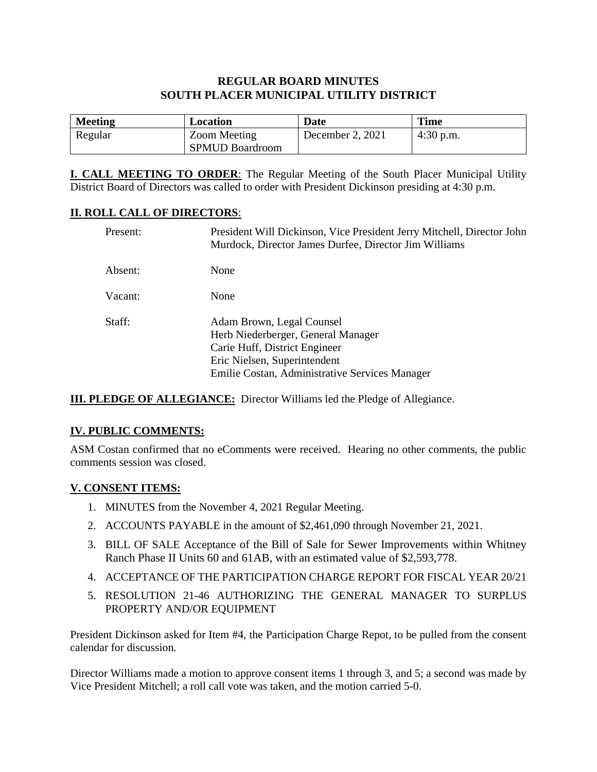## **REGULAR BOARD MINUTES SOUTH PLACER MUNICIPAL UTILITY DISTRICT**

| <b>Meeting</b> | Location                               | Date             | <b>Time</b> |
|----------------|----------------------------------------|------------------|-------------|
| Regular        | Zoom Meeting<br><b>SPMUD Boardroom</b> | December 2, 2021 | $4:30$ p.m. |

**I. CALL MEETING TO ORDER**: The Regular Meeting of the South Placer Municipal Utility District Board of Directors was called to order with President Dickinson presiding at 4:30 p.m.

#### **II. ROLL CALL OF DIRECTORS**:

| Present: | President Will Dickinson, Vice President Jerry Mitchell, Director John<br>Murdock, Director James Durfee, Director Jim Williams                                                    |
|----------|------------------------------------------------------------------------------------------------------------------------------------------------------------------------------------|
| Absent:  | None                                                                                                                                                                               |
| Vacant:  | None                                                                                                                                                                               |
| Staff:   | Adam Brown, Legal Counsel<br>Herb Niederberger, General Manager<br>Carie Huff, District Engineer<br>Eric Nielsen, Superintendent<br>Emilie Costan, Administrative Services Manager |

**III. PLEDGE OF ALLEGIANCE:** Director Williams led the Pledge of Allegiance.

#### **IV. PUBLIC COMMENTS:**

ASM Costan confirmed that no eComments were received. Hearing no other comments, the public comments session was closed.

#### **V. CONSENT ITEMS:**

- 1. MINUTES from the November 4, 2021 Regular Meeting.
- 2. ACCOUNTS PAYABLE in the amount of \$2,461,090 through November 21, 2021.
- 3. BILL OF SALE Acceptance of the Bill of Sale for Sewer Improvements within Whitney Ranch Phase II Units 60 and 61AB, with an estimated value of \$2,593,778.
- 4. ACCEPTANCE OF THE PARTICIPATION CHARGE REPORT FOR FISCAL YEAR 20/21
- 5. RESOLUTION 21-46 AUTHORIZING THE GENERAL MANAGER TO SURPLUS PROPERTY AND/OR EQUIPMENT

President Dickinson asked for Item #4, the Participation Charge Repot, to be pulled from the consent calendar for discussion.

Director Williams made a motion to approve consent items 1 through 3, and 5; a second was made by Vice President Mitchell; a roll call vote was taken, and the motion carried 5-0.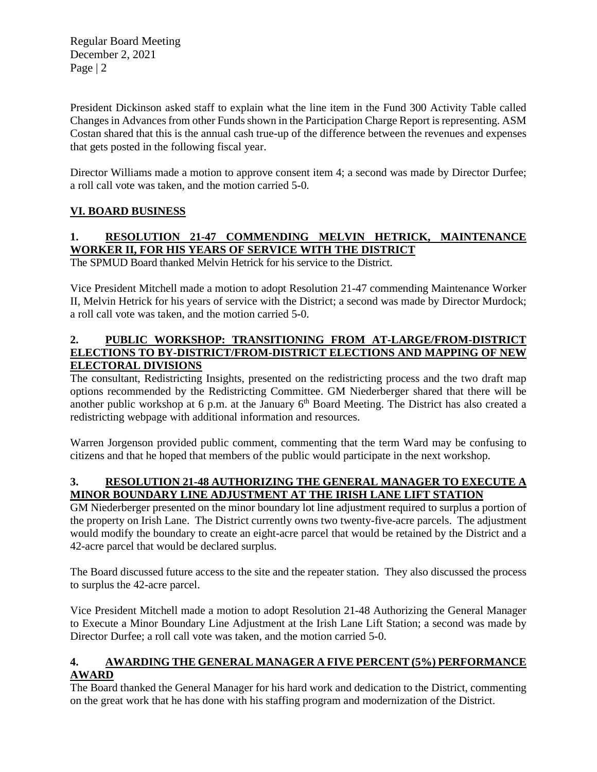Regular Board Meeting December 2, 2021 Page | 2

President Dickinson asked staff to explain what the line item in the Fund 300 Activity Table called Changes in Advances from other Funds shown in the Participation Charge Report is representing. ASM Costan shared that this is the annual cash true-up of the difference between the revenues and expenses that gets posted in the following fiscal year.

Director Williams made a motion to approve consent item 4; a second was made by Director Durfee; a roll call vote was taken, and the motion carried 5-0.

## **VI. BOARD BUSINESS**

# **1. RESOLUTION 21-47 COMMENDING MELVIN HETRICK, MAINTENANCE WORKER II, FOR HIS YEARS OF SERVICE WITH THE DISTRICT**

The SPMUD Board thanked Melvin Hetrick for his service to the District.

Vice President Mitchell made a motion to adopt Resolution 21-47 commending Maintenance Worker II, Melvin Hetrick for his years of service with the District; a second was made by Director Murdock; a roll call vote was taken, and the motion carried 5-0.

## **2. PUBLIC WORKSHOP: TRANSITIONING FROM AT-LARGE/FROM-DISTRICT ELECTIONS TO BY-DISTRICT/FROM-DISTRICT ELECTIONS AND MAPPING OF NEW ELECTORAL DIVISIONS**

The consultant, Redistricting Insights, presented on the redistricting process and the two draft map options recommended by the Redistricting Committee. GM Niederberger shared that there will be another public workshop at 6 p.m. at the January  $6<sup>th</sup>$  Board Meeting. The District has also created a redistricting webpage with additional information and resources.

Warren Jorgenson provided public comment, commenting that the term Ward may be confusing to citizens and that he hoped that members of the public would participate in the next workshop.

## **3. RESOLUTION 21-48 AUTHORIZING THE GENERAL MANAGER TO EXECUTE A MINOR BOUNDARY LINE ADJUSTMENT AT THE IRISH LANE LIFT STATION**

GM Niederberger presented on the minor boundary lot line adjustment required to surplus a portion of the property on Irish Lane. The District currently owns two twenty-five-acre parcels. The adjustment would modify the boundary to create an eight-acre parcel that would be retained by the District and a 42-acre parcel that would be declared surplus.

The Board discussed future access to the site and the repeater station. They also discussed the process to surplus the 42-acre parcel.

Vice President Mitchell made a motion to adopt Resolution 21-48 Authorizing the General Manager to Execute a Minor Boundary Line Adjustment at the Irish Lane Lift Station; a second was made by Director Durfee; a roll call vote was taken, and the motion carried 5-0.

## **4. AWARDING THE GENERAL MANAGER A FIVE PERCENT (5%) PERFORMANCE AWARD**

The Board thanked the General Manager for his hard work and dedication to the District, commenting on the great work that he has done with his staffing program and modernization of the District.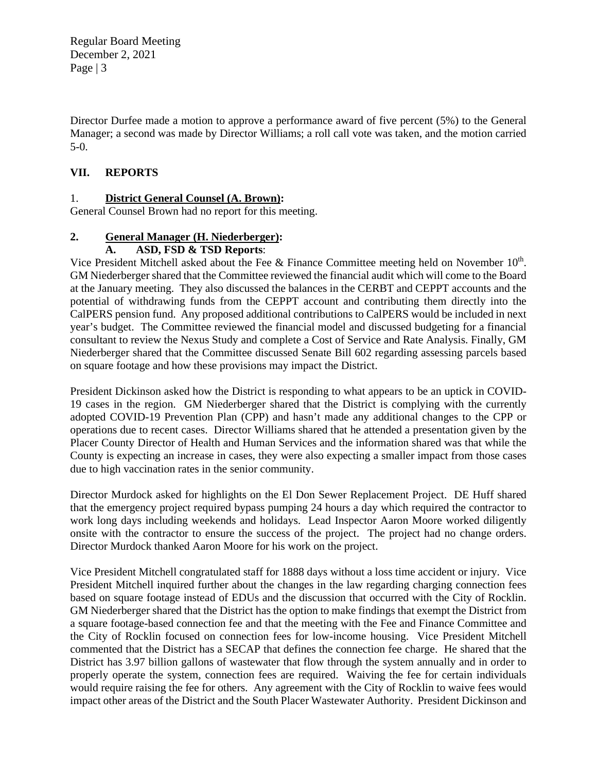Regular Board Meeting December 2, 2021 Page | 3

Director Durfee made a motion to approve a performance award of five percent (5%) to the General Manager; a second was made by Director Williams; a roll call vote was taken, and the motion carried 5-0.

## **VII. REPORTS**

## 1. **District General Counsel (A. Brown):**

General Counsel Brown had no report for this meeting.

## **2. General Manager (H. Niederberger):**

## **A. ASD, FSD & TSD Reports**:

Vice President Mitchell asked about the Fee & Finance Committee meeting held on November  $10<sup>th</sup>$ . GM Niederberger shared that the Committee reviewed the financial audit which will come to the Board at the January meeting. They also discussed the balances in the CERBT and CEPPT accounts and the potential of withdrawing funds from the CEPPT account and contributing them directly into the CalPERS pension fund. Any proposed additional contributions to CalPERS would be included in next year's budget. The Committee reviewed the financial model and discussed budgeting for a financial consultant to review the Nexus Study and complete a Cost of Service and Rate Analysis. Finally, GM Niederberger shared that the Committee discussed Senate Bill 602 regarding assessing parcels based on square footage and how these provisions may impact the District.

President Dickinson asked how the District is responding to what appears to be an uptick in COVID-19 cases in the region. GM Niederberger shared that the District is complying with the currently adopted COVID-19 Prevention Plan (CPP) and hasn't made any additional changes to the CPP or operations due to recent cases. Director Williams shared that he attended a presentation given by the Placer County Director of Health and Human Services and the information shared was that while the County is expecting an increase in cases, they were also expecting a smaller impact from those cases due to high vaccination rates in the senior community.

Director Murdock asked for highlights on the El Don Sewer Replacement Project. DE Huff shared that the emergency project required bypass pumping 24 hours a day which required the contractor to work long days including weekends and holidays. Lead Inspector Aaron Moore worked diligently onsite with the contractor to ensure the success of the project. The project had no change orders. Director Murdock thanked Aaron Moore for his work on the project.

Vice President Mitchell congratulated staff for 1888 days without a loss time accident or injury. Vice President Mitchell inquired further about the changes in the law regarding charging connection fees based on square footage instead of EDUs and the discussion that occurred with the City of Rocklin. GM Niederberger shared that the District has the option to make findings that exempt the District from a square footage-based connection fee and that the meeting with the Fee and Finance Committee and the City of Rocklin focused on connection fees for low-income housing. Vice President Mitchell commented that the District has a SECAP that defines the connection fee charge. He shared that the District has 3.97 billion gallons of wastewater that flow through the system annually and in order to properly operate the system, connection fees are required. Waiving the fee for certain individuals would require raising the fee for others. Any agreement with the City of Rocklin to waive fees would impact other areas of the District and the South Placer Wastewater Authority. President Dickinson and